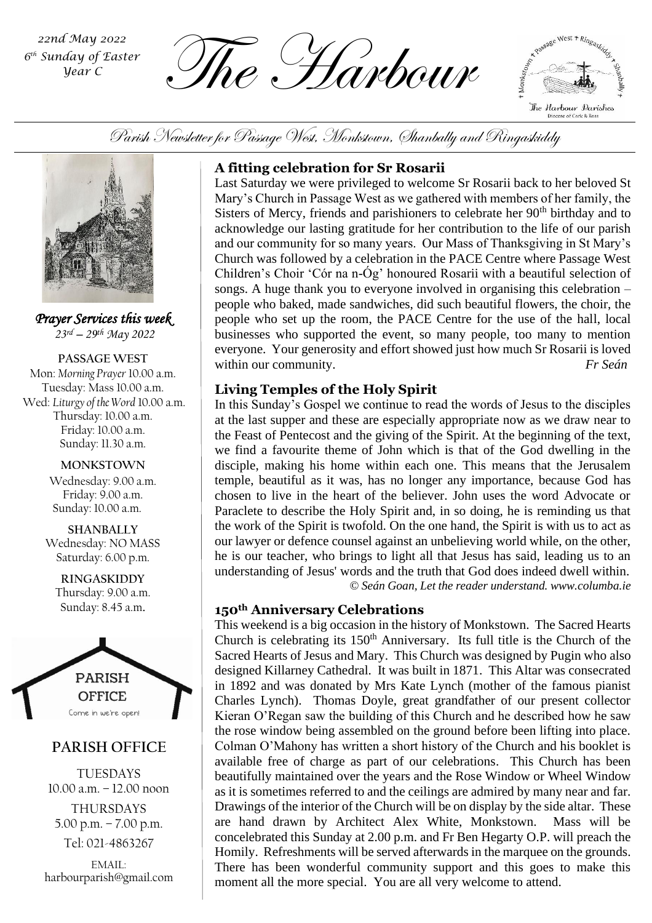*6 th Sunday of Easter Year C*

 $\overbrace{L}_{\text{Sundday of Easter}}^{\text{22nd May 2022}}$   $\overbrace{L}_{\text{MPL}}^{\text{22nd May 2022}}$   $\overbrace{L}_{\text{MPL}}^{\text{22nd May 2022}}$ 



Parish Newsletter for Passage West, Monkstown, Shanbally and Ringaskiddy



*Prayer Services this week 23rd – 29 th May 2022*

**PASSAGE WEST** Mon: *Morning Prayer* 10.00 a.m. Tuesday: Mass 10.00 a.m. Wed: *Liturgy of the Word* 10.00 a.m. Thursday: 10.00 a.m. Friday: 10.00 a.m. Sunday: 11.30 a.m.

> **MONKSTOWN** Wednesday: 9.00 a.m. Friday: 9.00 a.m. Sunday: 10.00 a.m.

**SHANBALLY** Wednesday: NO MASS Saturday: 6.00 p.m.

**RINGASKIDDY** Thursday: 9.00 a.m. Sunday: 8.45 a.m.



# **PARISH OFFICE**

TUESDAYS 10.00 a.m. – 12.00 noon THURSDAYS 5.00 p.m. – 7.00 p.m. Tel: 021-4863267

EMAIL: harbourparish@gmail.com

## **A fitting celebration for Sr Rosarii**

Last Saturday we were privileged to welcome Sr Rosarii back to her beloved St Mary's Church in Passage West as we gathered with members of her family, the Sisters of Mercy, friends and parishioners to celebrate her  $90<sup>th</sup>$  birthday and to acknowledge our lasting gratitude for her contribution to the life of our parish and our community for so many years. Our Mass of Thanksgiving in St Mary's Church was followed by a celebration in the PACE Centre where Passage West Children's Choir 'Cór na n-Óg' honoured Rosarii with a beautiful selection of songs. A huge thank you to everyone involved in organising this celebration – people who baked, made sandwiches, did such beautiful flowers, the choir, the people who set up the room, the PACE Centre for the use of the hall, local businesses who supported the event, so many people, too many to mention everyone. Your generosity and effort showed just how much Sr Rosarii is loved within our community. *Fr Seán*

## **Living Temples of the Holy Spirit**

understanding of Jesus' words and the truth that God does indeed dwell within. In this Sunday's Gospel we continue to read the words of Jesus to the disciples at the last supper and these are especially appropriate now as we draw near to the Feast of Pentecost and the giving of the Spirit. At the beginning of the text, we find a favourite theme of John which is that of the God dwelling in the disciple, making his home within each one. This means that the Jerusalem temple, beautiful as it was, has no longer any importance, because God has chosen to live in the heart of the believer. John uses the word Advocate or Paraclete to describe the Holy Spirit and, in so doing, he is reminding us that the work of the Spirit is twofold. On the one hand, the Spirit is with us to act as our lawyer or defence counsel against an unbelieving world while, on the other, he is our teacher, who brings to light all that Jesus has said, leading us to an *© Seán Goan, Let the reader understand. www.columba.ie*

#### **150th Anniversary Celebrations**

This weekend is a big occasion in the history of Monkstown. The Sacred Hearts Church is celebrating its 150<sup>th</sup> Anniversary. Its full title is the Church of the Sacred Hearts of Jesus and Mary. This Church was designed by Pugin who also designed Killarney Cathedral. It was built in 1871. This Altar was consecrated in 1892 and was donated by Mrs Kate Lynch (mother of the famous pianist Charles Lynch). Thomas Doyle, great grandfather of our present collector Kieran O'Regan saw the building of this Church and he described how he saw the rose window being assembled on the ground before been lifting into place. Colman O'Mahony has written a short history of the Church and his booklet is available free of charge as part of our celebrations. This Church has been beautifully maintained over the years and the Rose Window or Wheel Window as it is sometimes referred to and the ceilings are admired by many near and far. Drawings of the interior of the Church will be on display by the side altar. These are hand drawn by Architect Alex White, Monkstown. Mass will be concelebrated this Sunday at 2.00 p.m. and Fr Ben Hegarty O.P. will preach the Homily. Refreshments will be served afterwards in the marquee on the grounds. There has been wonderful community support and this goes to make this moment all the more special. You are all very welcome to attend.